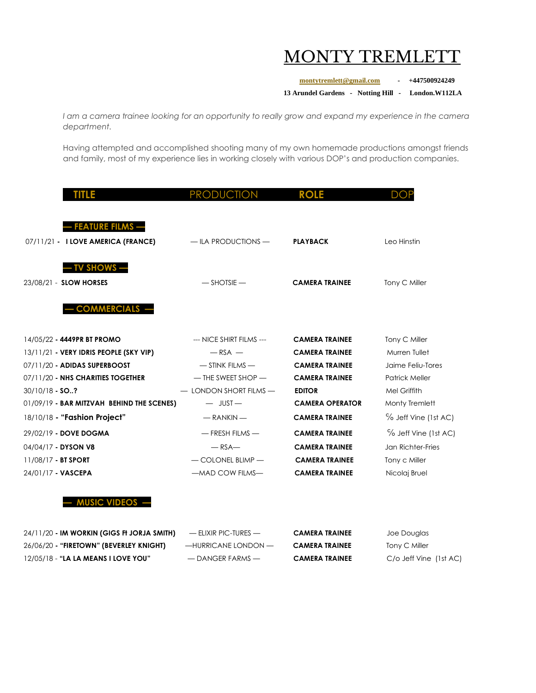## MONTY TREMLET

**[montytremlett@gmail.com](mailto:montytremlett@gmail.com) - +447500924249**

**13 Arundel Gardens - Notting Hill - London.W112LA**

*I am a camera trainee looking for an opportunity to really grow and expand my experience in the camera department.*

Having attempted and accomplished shooting many of my own homemade productions amongst friends and family, most of my experience lies in working closely with various DOP's and production companies.

| TITLE                                      | <b>PRODUCTION</b>        | <b>ROLE</b>            | <b>DOP</b>            |
|--------------------------------------------|--------------------------|------------------------|-----------------------|
|                                            |                          |                        |                       |
| <b>FEATURE FILMS -</b>                     |                          |                        |                       |
| 07/11/21 - I LOVE AMERICA (FRANCE)         | $-$ ILA PRODUCTIONS $-$  | <b>PLAYBACK</b>        | Leo Hinstin           |
|                                            |                          |                        |                       |
| <b>TV SHOWS -</b>                          |                          |                        |                       |
|                                            |                          |                        |                       |
| 23/08/21 - SLOW HORSES                     | $-$ SHOTSIE $-$          | <b>CAMERA TRAINEE</b>  | Tony C Miller         |
| <b>COMMERCIALS -</b>                       |                          |                        |                       |
|                                            |                          |                        |                       |
|                                            |                          |                        |                       |
| 14/05/22 - 4449PR BT PROMO                 | --- NICE SHIRT FILMS --- | <b>CAMERA TRAINEE</b>  | Tony C Miller         |
| 13/11/21 - VERY IDRIS PEOPLE (SKY VIP)     | $-RSA -$                 | <b>CAMERA TRAINEE</b>  | Murren Tullet         |
| 07/11/20 - ADIDAS SUPERBOOST               | $-$ STINK FILMS $-$      | <b>CAMERA TRAINEE</b>  | Jaime Feliu-Tores     |
| 07/11/20 - NHS CHARITIES TOGETHER          | $-$ THE SWEET SHOP $-$   | <b>CAMERA TRAINEE</b>  | <b>Patrick Meller</b> |
| 30/10/18 - SO?                             | - LONDON SHORT FILMS-    | <b>EDITOR</b>          | Mel Griffith          |
| 01/09/19 - BAR MITZVAH BEHIND THE SCENES)  | $-$ JUST $-$             | <b>CAMERA OPERATOR</b> | Monty Tremlett        |
| 18/10/18 - "Fashion Project"               | $-RANKIN -$              | <b>CAMERA TRAINEE</b>  | % Jeff Vine (1st AC)  |
| 29/02/19 - DOVE DOGMA                      | $-$ FRESH FILMS $-$      | <b>CAMERA TRAINEE</b>  | % Jeff Vine (1st AC)  |
| 04/04/17 - DYSON V8                        | $-$ RSA $-$              | <b>CAMERA TRAINEE</b>  | Jan Richter-Fries     |
| 11/08/17 - BT SPORT                        | $-$ COLONEL BLIMP $-$    | <b>CAMERA TRAINEE</b>  | Tony c Miller         |
| 24/01/17 - VASCEPA                         | -MAD COW FILMS-          | <b>CAMERA TRAINEE</b>  | Nicolaj Bruel         |
|                                            |                          |                        |                       |
| <b>MUSIC VIDEOS ·</b>                      |                          |                        |                       |
|                                            |                          |                        |                       |
| 24/11/20 - IM WORKIN (GIGS FI JORJA SMITH) | - ELIXIR PIC-TURES -     | <b>CAMERA TRAINEE</b>  | Joe Douglas           |
| 26/06/20 - "FIRETOWN" (BEVERLEY KNIGHT)    | -HURRICANE LONDON-       | <b>CAMERA TRAINEE</b>  | Tony C Miller         |

12/05/18 - **"LA LA MEANS I LOVE YOU"** — DANGER FARMS — **CAMERA TRAINEE** C/o Jeff Vine (1st AC)